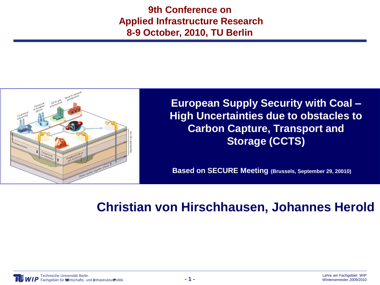**9th Conference on Applied Infrastructure Research 8-9 October, 2010, TU Berlin**



**European Supply Security with Coal – High Uncertainties due to obstacles to Carbon Capture, Transport and Storage (CCTS)**

**Based on SECURE Meeting (Brussels, September 29, 20010)**

### **Christian von Hirschhausen, Johannes Herold**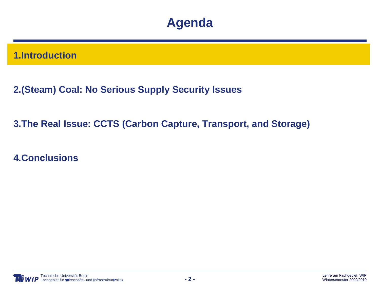### **Agenda**

#### **1.Introduction**

**2.(Steam) Coal: No Serious Supply Security Issues**

**3.The Real Issue: CCTS (Carbon Capture, Transport, and Storage)**

**4.Conclusions**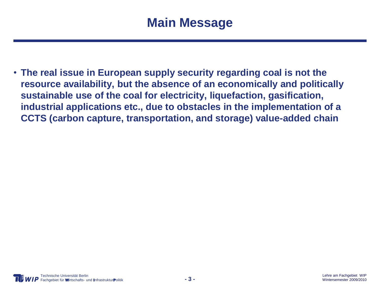• **The real issue in European supply security regarding coal is not the resource availability, but the absence of an economically and politically sustainable use of the coal for electricity, liquefaction, gasification, industrial applications etc., due to obstacles in the implementation of a CCTS (carbon capture, transportation, and storage) value-added chain**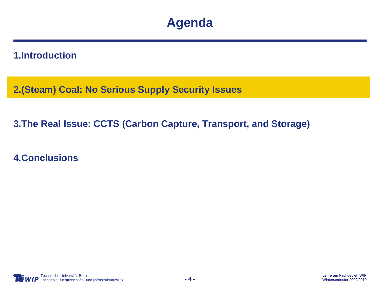### **Agenda**

#### **1.Introduction**

**2.(Steam) Coal: No Serious Supply Security Issues**

**3.The Real Issue: CCTS (Carbon Capture, Transport, and Storage)**

**4.Conclusions**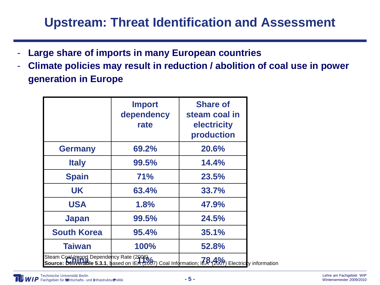### **Upstream: Threat Identification and Assessment**

- **Large share of imports in many European countries**
- **Climate policies may result in reduction / abolition of coal use in power generation in Europe**

|                                                                                                                                              | <b>Import</b><br>dependency<br>rate | <b>Share of</b><br>steam coal in<br>electricity<br>production |  |  |  |
|----------------------------------------------------------------------------------------------------------------------------------------------|-------------------------------------|---------------------------------------------------------------|--|--|--|
| <b>Germany</b>                                                                                                                               | 69.2%                               | 20.6%                                                         |  |  |  |
| <b>Italy</b>                                                                                                                                 | 99.5%                               | 14.4%                                                         |  |  |  |
| <b>Spain</b>                                                                                                                                 | 71%                                 | 23.5%                                                         |  |  |  |
| <b>UK</b>                                                                                                                                    | 63.4%                               | 33.7%                                                         |  |  |  |
| <b>USA</b>                                                                                                                                   | 1.8%                                | 47.9%                                                         |  |  |  |
| <b>Japan</b>                                                                                                                                 | 99.5%                               | 24.5%                                                         |  |  |  |
| <b>South Korea</b>                                                                                                                           | 95.4%                               | 35.1%                                                         |  |  |  |
| <b>Taiwan</b>                                                                                                                                | 100%                                | 52.8%                                                         |  |  |  |
| Steam Coal Import Dependency Rate (2006)<br>Steam Committee Bepericies its visit (2007) Coal Information; IER (2009) Electricity information |                                     |                                                               |  |  |  |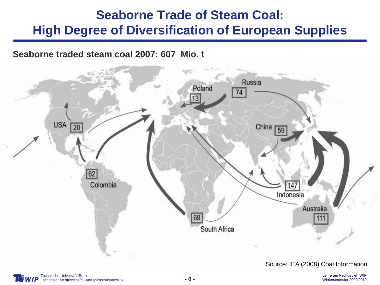## **Seaborne Trade of Steam Coal: High Degree of Diversification of European Supplies**

**Seaborne traded steam coal 2007: 607 Mio. t** 

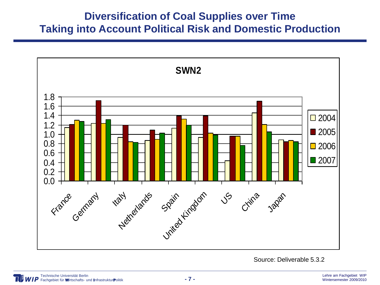#### **Diversification of Coal Supplies over Time Taking into Account Political Risk and Domestic Production**



Source: Deliverable 5.3.2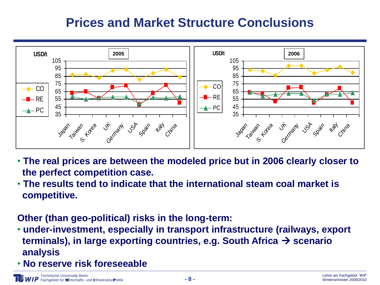### **Prices and Market Structure Conclusions**



- **The real prices are between the modeled price but in 2006 clearly closer to the perfect competition case.**
- **The results tend to indicate that the international steam coal market is competitive.**

**Other (than geo-political) risks in the long-term:**

- **under-investment, especially in transport infrastructure (railways, export terminals), in large exporting countries, e.g. South Africa → scenario analysis**
- **No reserve risk foreseeable**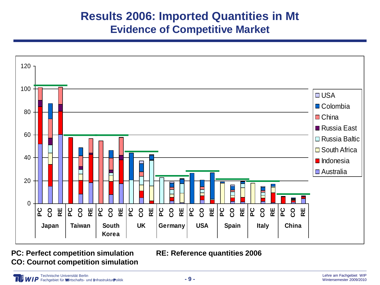### **Results 2006: Imported Quantities in Mt Evidence of Competitive Market**



**PC: Perfect competition simulation RE: Reference quantities 2006 CO: Cournot competition simulation**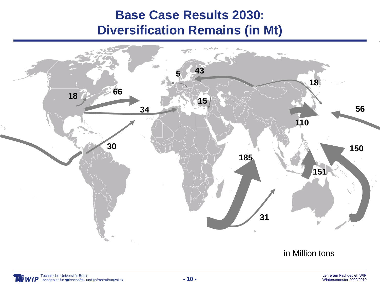### **Base Case Results 2030: Diversification Remains (in Mt)**

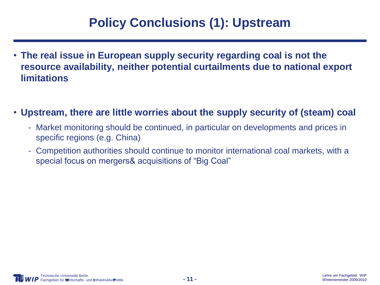## **Policy Conclusions (1): Upstream**

- **The real issue in European supply security regarding coal is not the resource availability, neither potential curtailments due to national export limitations**
- **Upstream, there are little worries about the supply security of (steam) coal**
	- Market monitoring should be continued, in particular on developments and prices in specific regions (e.g. China)
	- Competition authorities should continue to monitor international coal markets, with a special focus on mergers& acquisitions of "Big Coal"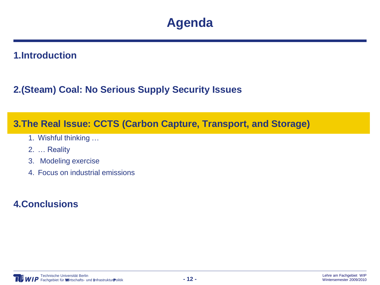### **Agenda**

#### **1.Introduction**

#### **2.(Steam) Coal: No Serious Supply Security Issues**

#### **3.The Real Issue: CCTS (Carbon Capture, Transport, and Storage)**

- 1. Wishful thinking …
- 2. … Reality
- 3. Modeling exercise
- 4. Focus on industrial emissions

#### **4.Conclusions**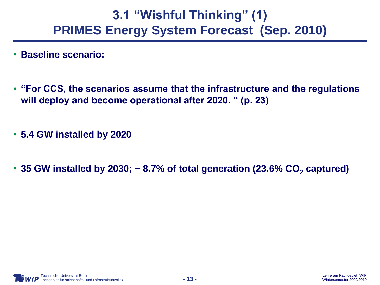### **3.1 "Wishful Thinking" (1) PRIMES Energy System Forecast (Sep. 2010)**

- **Baseline scenario:**
- **"For CCS, the scenarios assume that the infrastructure and the regulations will deploy and become operational after 2020. " (p. 23)**
- **5.4 GW installed by 2020**
- 35 GW installed by 2030;  $\sim$  8.7% of total generation (23.6% CO<sub>2</sub> captured)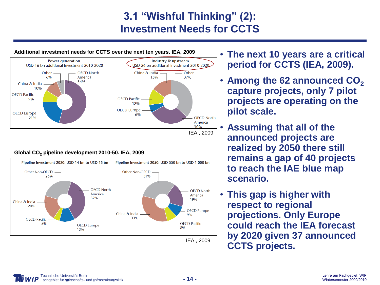### **3.1 "Wishful Thinking" (2): Investment Needs for CCTS**



#### **Global CO<sup>2</sup> pipeline development 2010-50. IEA, 2009**



- **The next 10 years are a critical period for CCTS (IEA, 2009).**
- **Among the 62 announced CO<sup>2</sup> capture projects, only 7 pilot projects are operating on the pilot scale.**
- **Assuming that all of the announced projects are realized by 2050 there still remains a gap of 40 projects to reach the IAE blue map scenario.**
- **This gap is higher with respect to regional projections. Only Europe could reach the IEA forecast by 2020 given 37 announced IEA., 2009 CCTS projects.**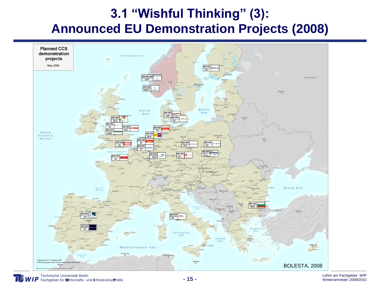## **3.1 "Wishful Thinking" (3): Announced EU Demonstration Projects (2008)**

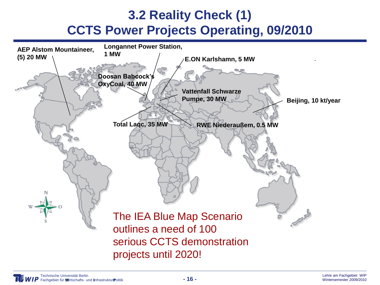## **3.2 Reality Check (1) CCTS Power Projects Operating, 09/2010**

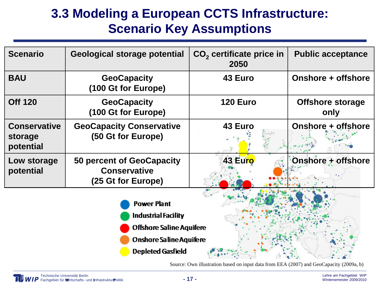## **3.3 Modeling a European CCTS Infrastructure: Scenario Key Assumptions**

| <b>Scenario</b>                             | Geological storage potential                                                                                                                      | $CO2$ certificate price in<br>2050 | <b>Public acceptance</b>        |
|---------------------------------------------|---------------------------------------------------------------------------------------------------------------------------------------------------|------------------------------------|---------------------------------|
| <b>BAU</b>                                  | <b>GeoCapacity</b><br>(100 Gt for Europe)                                                                                                         | 43 Euro                            | Onshore + offshore              |
| <b>Off 120</b>                              | <b>GeoCapacity</b><br>(100 Gt for Europe)                                                                                                         | <b>120 Euro</b>                    | <b>Offshore storage</b><br>only |
| <b>Conservative</b><br>storage<br>potential | <b>GeoCapacity Conservative</b><br>(50 Gt for Europe)                                                                                             | 43 Euro                            | Onshore + offshore              |
| Low storage<br>potential                    | 50 percent of GeoCapacity<br><b>Conservative</b><br>(25 Gt for Europe)                                                                            | 43 Euro                            | Onshore + offshore              |
|                                             | <b>Power Plant</b><br><b>Industrial Facility</b><br><b>Offshore Saline Aquifere</b><br><b>Onshore Saline Aquifere</b><br><b>Depleted Gasfield</b> |                                    |                                 |

Source: Own illustration based on input data from EEA (2007) and GeoCapacity (2009a, b)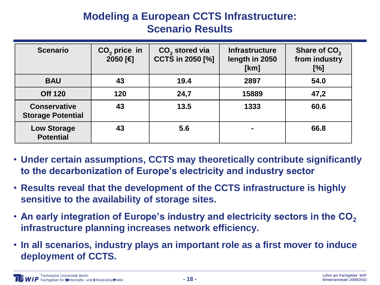### **Modeling a European CCTS Infrastructure: Scenario Results**

| <b>Scenario</b>                                 | $CO2$ price in<br>2050 [€] | $CO2$ stored via<br>CCTS in 2050 [%] | <b>Infrastructure</b><br>length in 2050<br>[km] | Share of CO <sub>2</sub><br>from industry<br>[%] |
|-------------------------------------------------|----------------------------|--------------------------------------|-------------------------------------------------|--------------------------------------------------|
| <b>BAU</b>                                      | 43                         | 19.4                                 | 2897                                            | 54.0                                             |
| <b>Off 120</b>                                  | 120                        | 24,7                                 | 15889                                           | 47,2                                             |
| <b>Conservative</b><br><b>Storage Potential</b> | 43                         | 13.5                                 | 1333                                            | 60.6                                             |
| <b>Low Storage</b><br><b>Potential</b>          | 43                         | 5.6                                  | ۰                                               | 66.8                                             |

- **Under certain assumptions, CCTS may theoretically contribute significantly to the decarbonization of Europe's electricity and industry sector**
- **Results reveal that the development of the CCTS infrastructure is highly sensitive to the availability of storage sites.**
- **An early integration of Europe's industry and electricity sectors in the CO<sup>2</sup> infrastructure planning increases network efficiency.**
- **In all scenarios, industry plays an important role as a first mover to induce deployment of CCTS.**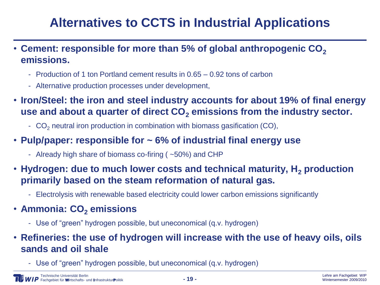# **Alternatives to CCTS in Industrial Applications**

- **Cement: responsible for more than 5% of global anthropogenic CO<sup>2</sup> emissions.** 
	- Production of 1 ton Portland cement results in 0.65 0.92 tons of carbon
	- Alternative production processes under development,
- **Iron/Steel: the iron and steel industry accounts for about 19% of final energy use and about a quarter of direct CO<sup>2</sup> emissions from the industry sector.** 
	- $CO<sub>2</sub>$  neutral iron production in combination with biomass gasification (CO),
- **Pulp/paper: responsible for ~ 6% of industrial final energy use**
	- Already high share of biomass co-firing ( ~50%) and CHP
- **Hydrogen: due to much lower costs and technical maturity, H<sup>2</sup> production primarily based on the steam reformation of natural gas.**
	- Electrolysis with renewable based electricity could lower carbon emissions significantly
- **Ammonia: CO<sup>2</sup> emissions**
	- Use of "green" hydrogen possible, but uneconomical (q.v. hydrogen)
- **Refineries: the use of hydrogen will increase with the use of heavy oils, oils sands and oil shale**
	- Use of "green" hydrogen possible, but uneconomical (q.v. hydrogen)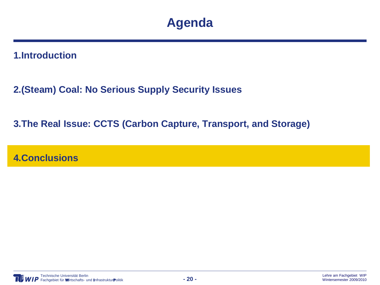### **Agenda**

**1.Introduction**

**2.(Steam) Coal: No Serious Supply Security Issues**

**3.The Real Issue: CCTS (Carbon Capture, Transport, and Storage)**

**4.Conclusions**